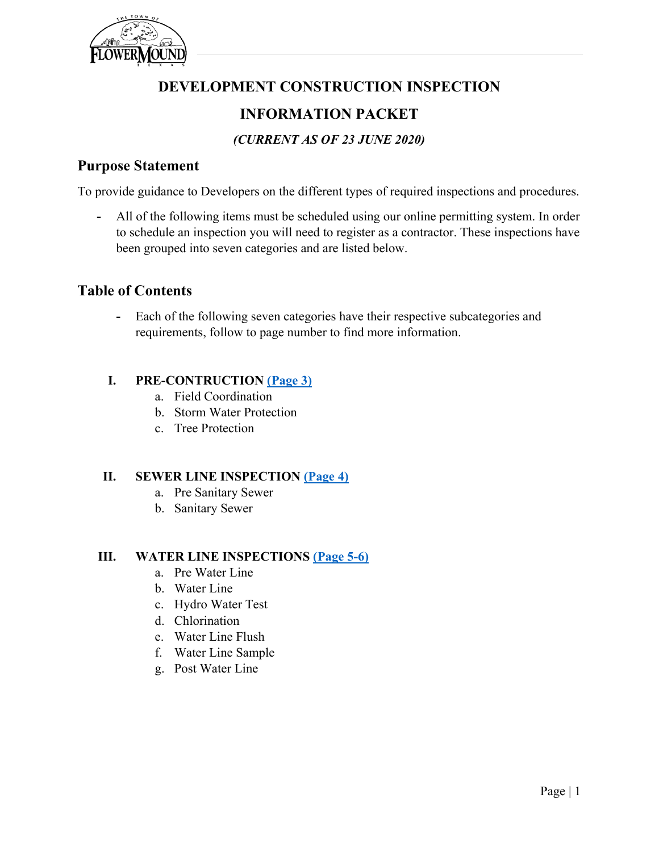

## **DEVELOPMENT CONSTRUCTION INSPECTION**

## **INFORMATION PACKET**

## *(CURRENT AS OF 23 JUNE 2020)*

### **Purpose Statement**

To provide guidance to Developers on the different types of required inspections and procedures.

**-** All of the following items must be scheduled using our online permitting system. In order to schedule an inspection you will need to register as a contractor. These inspections have been grouped into seven categories and are listed below.

## **Table of Contents**

**-** Each of the following seven categories have their respective subcategories and requirements, follow to page number to find more information.

### **I. PRE-CONTRUCTION [\(Page](#page-2-0) 3)**

- a. Field Coordination
- b. Storm Water Protection
- c. Tree Protection

### **II. SEWER LINE INSPECTION [\(Page 4\)](#page-3-0)**

- a. Pre Sanitary Sewer
- b. Sanitary Sewer

### **III. WATER LINE INSPECTIONS [\(Page 5-6\)](#page-4-0)**

- a. Pre Water Line
- b. Water Line
- c. Hydro Water Test
- d. Chlorination
- e. Water Line Flush
- f. Water Line Sample
- g. Post Water Line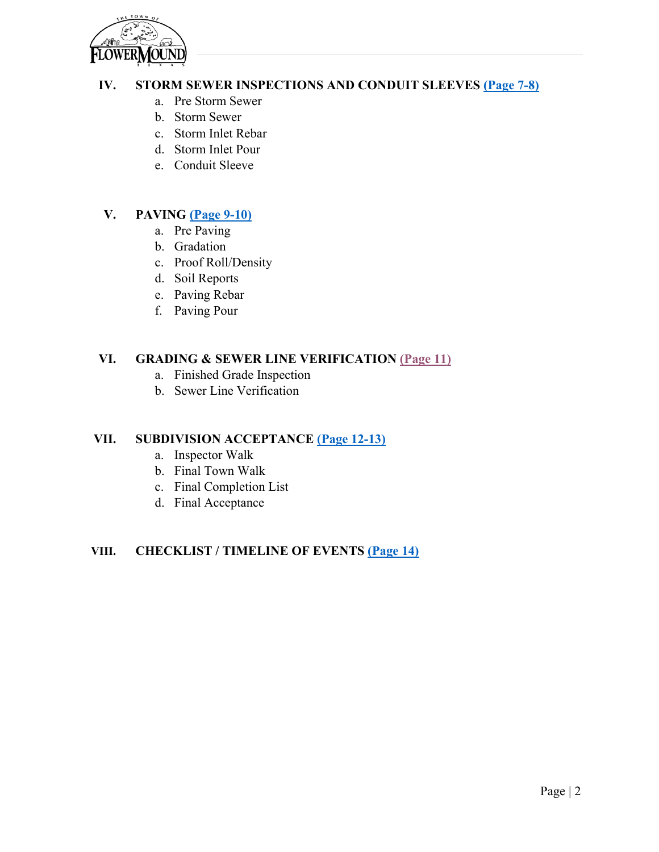

### **IV. STORM SEWER INSPECTIONS AND CONDUIT SLEEVES [\(Page 7-8\)](#page-6-0)**

- a. Pre Storm Sewer
- b. Storm Sewer
- c. Storm Inlet Rebar
- d. Storm Inlet Pour
- e. Conduit Sleeve

### **V. PAVING [\(Page 9-10\)](#page-8-0)**

- a. Pre Paving
- b. Gradation
- c. Proof Roll/Density
- d. Soil Reports
- e. Paving Rebar
- f. Paving Pour

### **VI. GRADING & SEWER LINE VERIFICATION [\(Page](#page-10-0) 11)**

- a. Finished Grade Inspection
- b. Sewer Line Verification

### **VII. SUBDIVISION ACCEPTANCE [\(Page 12-13\)](#page-11-0)**

- a. Inspector Walk
- b. Final Town Walk
- c. Final Completion List
- d. Final Acceptance

### **VIII. CHECKLIST / TIMELINE OF EVENTS [\(Page 14\)](#page-13-0)**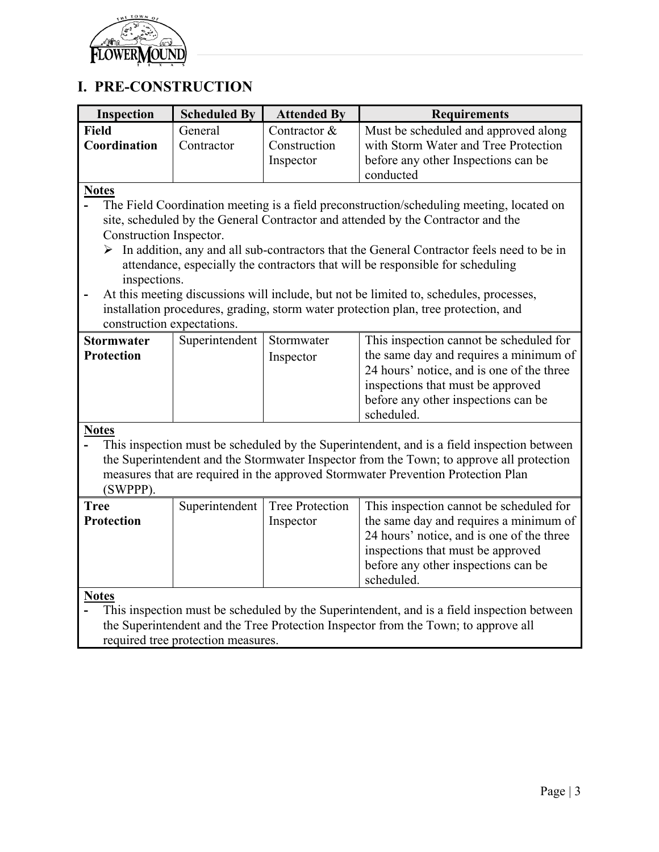

# **I. PRE-CONSTRUCTION**

<span id="page-2-0"></span>

| Inspection                 | <b>Scheduled By</b>                                                                | <b>Attended By</b>     | <b>Requirements</b>                                                                                       |  |
|----------------------------|------------------------------------------------------------------------------------|------------------------|-----------------------------------------------------------------------------------------------------------|--|
| <b>Field</b>               | General                                                                            | Contractor &           | Must be scheduled and approved along                                                                      |  |
| Coordination               | Contractor                                                                         | Construction           | with Storm Water and Tree Protection                                                                      |  |
|                            |                                                                                    | Inspector              | before any other Inspections can be                                                                       |  |
|                            |                                                                                    |                        | conducted                                                                                                 |  |
| <b>Notes</b>               |                                                                                    |                        |                                                                                                           |  |
|                            |                                                                                    |                        | The Field Coordination meeting is a field preconstruction/scheduling meeting, located on                  |  |
|                            |                                                                                    |                        | site, scheduled by the General Contractor and attended by the Contractor and the                          |  |
| Construction Inspector.    |                                                                                    |                        |                                                                                                           |  |
|                            |                                                                                    |                        | $\triangleright$ In addition, any and all sub-contractors that the General Contractor feels need to be in |  |
|                            |                                                                                    |                        | attendance, especially the contractors that will be responsible for scheduling                            |  |
| inspections.               |                                                                                    |                        |                                                                                                           |  |
|                            |                                                                                    |                        | At this meeting discussions will include, but not be limited to, schedules, processes,                    |  |
|                            |                                                                                    |                        | installation procedures, grading, storm water protection plan, tree protection, and                       |  |
| construction expectations. |                                                                                    |                        |                                                                                                           |  |
| <b>Stormwater</b>          | Superintendent                                                                     | Stormwater             | This inspection cannot be scheduled for                                                                   |  |
| <b>Protection</b>          |                                                                                    | Inspector              | the same day and requires a minimum of                                                                    |  |
|                            |                                                                                    |                        | 24 hours' notice, and is one of the three                                                                 |  |
|                            |                                                                                    |                        | inspections that must be approved                                                                         |  |
|                            |                                                                                    |                        | before any other inspections can be<br>scheduled.                                                         |  |
| <b>Notes</b>               |                                                                                    |                        |                                                                                                           |  |
|                            |                                                                                    |                        | This inspection must be scheduled by the Superintendent, and is a field inspection between                |  |
|                            |                                                                                    |                        | the Superintendent and the Stormwater Inspector from the Town; to approve all protection                  |  |
|                            |                                                                                    |                        | measures that are required in the approved Stormwater Prevention Protection Plan                          |  |
| (SWPPP).                   |                                                                                    |                        |                                                                                                           |  |
| <b>Tree</b>                | Superintendent                                                                     | <b>Tree Protection</b> | This inspection cannot be scheduled for                                                                   |  |
| Protection                 |                                                                                    | Inspector              | the same day and requires a minimum of                                                                    |  |
|                            |                                                                                    |                        | 24 hours' notice, and is one of the three                                                                 |  |
|                            |                                                                                    |                        | inspections that must be approved                                                                         |  |
|                            |                                                                                    |                        | before any other inspections can be                                                                       |  |
|                            |                                                                                    |                        | scheduled.                                                                                                |  |
| <b>Notes</b>               |                                                                                    |                        |                                                                                                           |  |
|                            |                                                                                    |                        | This inspection must be scheduled by the Superintendent, and is a field inspection between                |  |
|                            | the Superintendent and the Tree Protection Inspector from the Town; to approve all |                        |                                                                                                           |  |
|                            | required tree protection measures.                                                 |                        |                                                                                                           |  |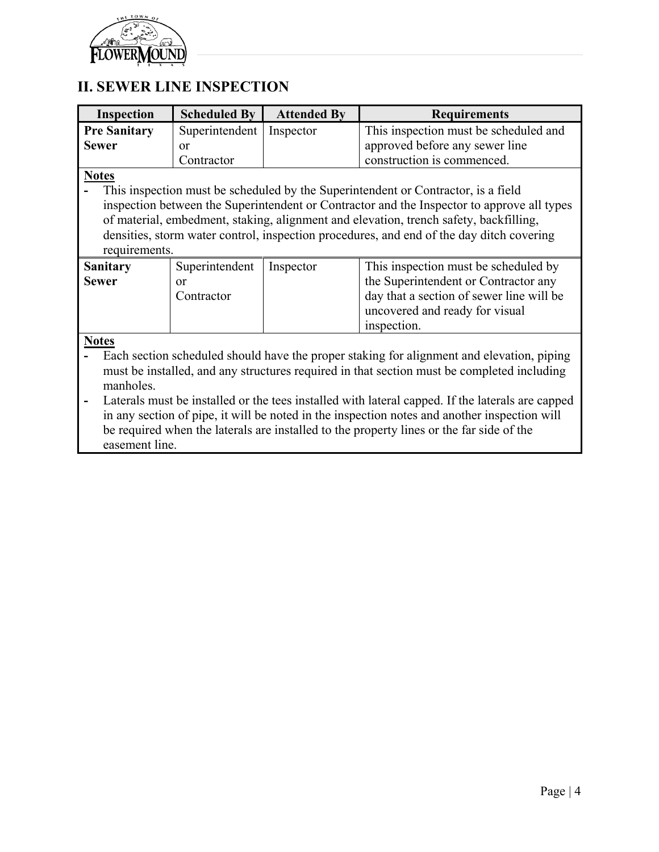

# **II. SEWER LINE INSPECTION**

<span id="page-3-0"></span>

| <b>Inspection</b>   | <b>Scheduled By</b> | <b>Attended By</b> | <b>Requirements</b>                                                                              |  |
|---------------------|---------------------|--------------------|--------------------------------------------------------------------------------------------------|--|
| <b>Pre Sanitary</b> | Superintendent      | Inspector          | This inspection must be scheduled and                                                            |  |
| <b>Sewer</b>        | or                  |                    | approved before any sewer line                                                                   |  |
|                     | Contractor          |                    | construction is commenced.                                                                       |  |
| <b>Notes</b>        |                     |                    |                                                                                                  |  |
|                     |                     |                    | This inspection must be scheduled by the Superintendent or Contractor, is a field                |  |
|                     |                     |                    | inspection between the Superintendent or Contractor and the Inspector to approve all types       |  |
|                     |                     |                    |                                                                                                  |  |
|                     |                     |                    | of material, embedment, staking, alignment and elevation, trench safety, backfilling,            |  |
|                     |                     |                    | densities, storm water control, inspection procedures, and end of the day ditch covering         |  |
| requirements.       |                     |                    |                                                                                                  |  |
| <b>Sanitary</b>     | Superintendent      | Inspector          | This inspection must be scheduled by                                                             |  |
| <b>Sewer</b>        | <b>or</b>           |                    | the Superintendent or Contractor any                                                             |  |
|                     | Contractor          |                    | day that a section of sewer line will be                                                         |  |
|                     |                     |                    | uncovered and ready for visual                                                                   |  |
|                     |                     |                    | inspection.                                                                                      |  |
| <b>Notes</b>        |                     |                    |                                                                                                  |  |
|                     |                     |                    | Each section scheduled should have the proper staking for alignment and elevation, piping        |  |
|                     |                     |                    | must be installed, and any structures required in that section must be completed including       |  |
| manholes.           |                     |                    |                                                                                                  |  |
|                     |                     |                    |                                                                                                  |  |
|                     |                     |                    | Laterals must be installed or the tees installed with lateral capped. If the laterals are capped |  |
|                     |                     |                    | in any section of pipe, it will be noted in the inspection notes and another inspection will     |  |
|                     |                     |                    | be required when the laterals are installed to the property lines or the far side of the         |  |
|                     | easement line.      |                    |                                                                                                  |  |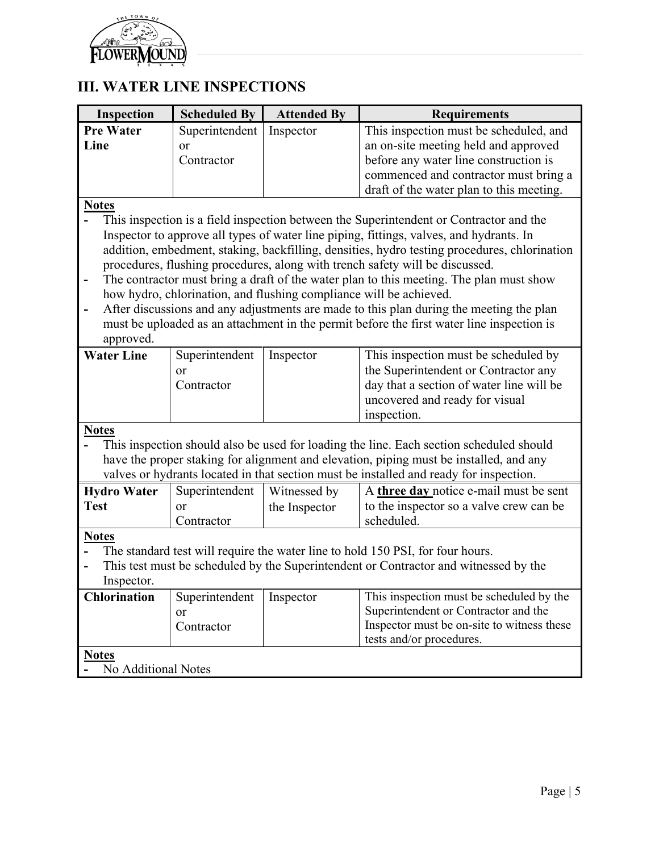

# <span id="page-4-0"></span>**III. WATER LINE INSPECTIONS**

| Inspection          | <b>Scheduled By</b> | <b>Attended By</b>                                                 | <b>Requirements</b>                                                                          |  |
|---------------------|---------------------|--------------------------------------------------------------------|----------------------------------------------------------------------------------------------|--|
| <b>Pre Water</b>    | Superintendent      | Inspector                                                          | This inspection must be scheduled, and                                                       |  |
| Line                | <sub>or</sub>       |                                                                    | an on-site meeting held and approved                                                         |  |
|                     | Contractor          |                                                                    | before any water line construction is                                                        |  |
|                     |                     |                                                                    | commenced and contractor must bring a                                                        |  |
|                     |                     |                                                                    | draft of the water plan to this meeting.                                                     |  |
| <b>Notes</b>        |                     |                                                                    |                                                                                              |  |
|                     |                     |                                                                    | This inspection is a field inspection between the Superintendent or Contractor and the       |  |
|                     |                     |                                                                    | Inspector to approve all types of water line piping, fittings, valves, and hydrants. In      |  |
|                     |                     |                                                                    | addition, embedment, staking, backfilling, densities, hydro testing procedures, chlorination |  |
|                     |                     |                                                                    | procedures, flushing procedures, along with trench safety will be discussed.                 |  |
| -                   |                     |                                                                    | The contractor must bring a draft of the water plan to this meeting. The plan must show      |  |
|                     |                     | how hydro, chlorination, and flushing compliance will be achieved. |                                                                                              |  |
|                     |                     |                                                                    | After discussions and any adjustments are made to this plan during the meeting the plan      |  |
|                     |                     |                                                                    | must be uploaded as an attachment in the permit before the first water line inspection is    |  |
| approved.           |                     |                                                                    |                                                                                              |  |
| <b>Water Line</b>   | Superintendent      | Inspector                                                          | This inspection must be scheduled by                                                         |  |
|                     | <sub>or</sub>       |                                                                    | the Superintendent or Contractor any                                                         |  |
|                     | Contractor          |                                                                    | day that a section of water line will be                                                     |  |
|                     |                     |                                                                    | uncovered and ready for visual                                                               |  |
|                     |                     |                                                                    | inspection.                                                                                  |  |
| <b>Notes</b>        |                     |                                                                    |                                                                                              |  |
|                     |                     |                                                                    | This inspection should also be used for loading the line. Each section scheduled should      |  |
|                     |                     |                                                                    | have the proper staking for alignment and elevation, piping must be installed, and any       |  |
|                     |                     |                                                                    | valves or hydrants located in that section must be installed and ready for inspection.       |  |
| <b>Hydro Water</b>  | Superintendent      | Witnessed by                                                       | A three day notice e-mail must be sent                                                       |  |
| <b>Test</b>         | <sub>or</sub>       | the Inspector                                                      | to the inspector so a valve crew can be                                                      |  |
|                     | Contractor          |                                                                    | scheduled.                                                                                   |  |
| <b>Notes</b>        |                     |                                                                    |                                                                                              |  |
|                     |                     |                                                                    | The standard test will require the water line to hold 150 PSI, for four hours.               |  |
|                     |                     |                                                                    | This test must be scheduled by the Superintendent or Contractor and witnessed by the         |  |
| Inspector.          |                     |                                                                    |                                                                                              |  |
| <b>Chlorination</b> | Superintendent      | Inspector                                                          | This inspection must be scheduled by the                                                     |  |
|                     | <sub>or</sub>       |                                                                    | Superintendent or Contractor and the                                                         |  |
|                     | Contractor          |                                                                    | Inspector must be on-site to witness these                                                   |  |
|                     |                     |                                                                    | tests and/or procedures.                                                                     |  |
| <b>Notes</b>        |                     |                                                                    |                                                                                              |  |
| No Additional Notes |                     |                                                                    |                                                                                              |  |
|                     |                     |                                                                    |                                                                                              |  |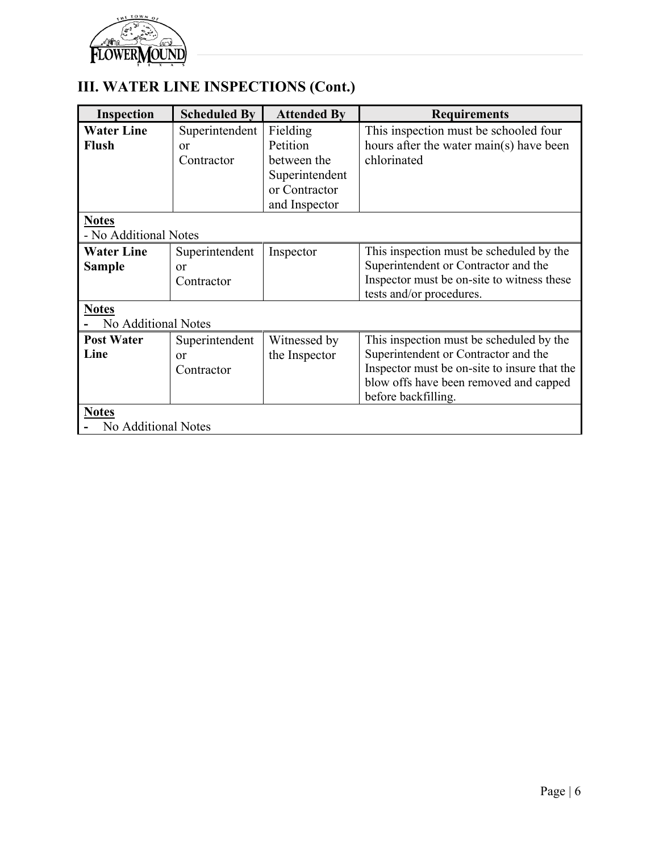

# **III. WATER LINE INSPECTIONS (Cont.)**

| Inspection            | <b>Scheduled By</b> | <b>Attended By</b> | <b>Requirements</b>                          |  |
|-----------------------|---------------------|--------------------|----------------------------------------------|--|
| <b>Water Line</b>     | Superintendent      | Fielding           | This inspection must be schooled four        |  |
| <b>Flush</b>          | <b>or</b>           | Petition           | hours after the water main(s) have been      |  |
|                       | Contractor          | between the        | chlorinated                                  |  |
|                       |                     | Superintendent     |                                              |  |
|                       |                     | or Contractor      |                                              |  |
|                       |                     | and Inspector      |                                              |  |
| <b>Notes</b>          |                     |                    |                                              |  |
| - No Additional Notes |                     |                    |                                              |  |
| <b>Water Line</b>     | Superintendent      | Inspector          | This inspection must be scheduled by the     |  |
| <b>Sample</b>         | or                  |                    | Superintendent or Contractor and the         |  |
|                       | Contractor          |                    | Inspector must be on-site to witness these   |  |
|                       |                     |                    | tests and/or procedures.                     |  |
| <b>Notes</b>          |                     |                    |                                              |  |
| No Additional Notes   |                     |                    |                                              |  |
| <b>Post Water</b>     | Superintendent      | Witnessed by       | This inspection must be scheduled by the     |  |
| Line                  | <b>or</b>           | the Inspector      | Superintendent or Contractor and the         |  |
|                       | Contractor          |                    | Inspector must be on-site to insure that the |  |
|                       |                     |                    | blow offs have been removed and capped       |  |
|                       |                     |                    | before backfilling.                          |  |
| <b>Notes</b>          |                     |                    |                                              |  |
| No Additional Notes   |                     |                    |                                              |  |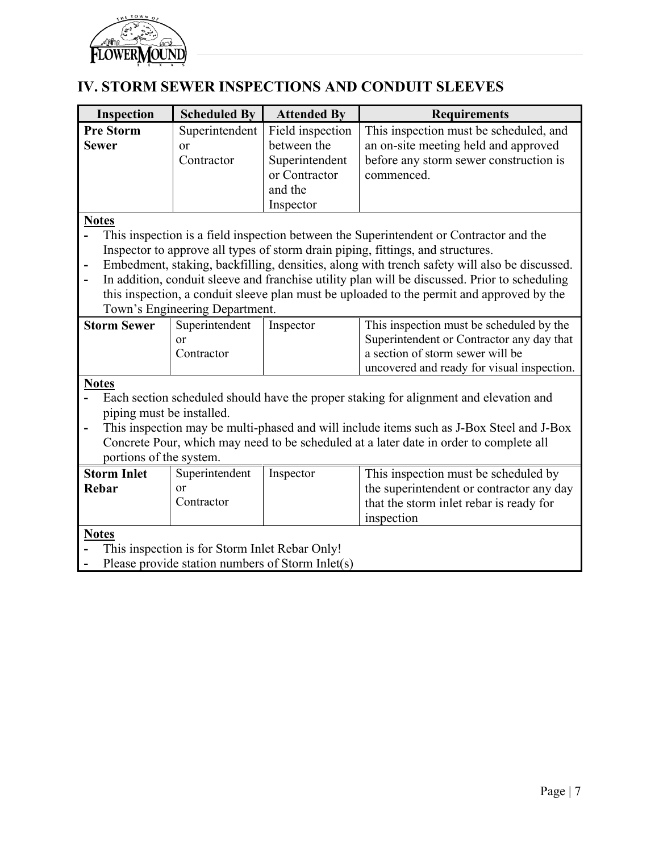<span id="page-6-0"></span>

# **IV. STORM SEWER INSPECTIONS AND CONDUIT SLEEVES**

| Inspection                                       | <b>Scheduled By</b>            | <b>Attended By</b> | <b>Requirements</b>                                                                           |  |
|--------------------------------------------------|--------------------------------|--------------------|-----------------------------------------------------------------------------------------------|--|
| <b>Pre Storm</b>                                 | Superintendent                 | Field inspection   | This inspection must be scheduled, and                                                        |  |
| <b>Sewer</b>                                     | or                             | between the        | an on-site meeting held and approved                                                          |  |
|                                                  | Contractor                     | Superintendent     | before any storm sewer construction is                                                        |  |
|                                                  |                                | or Contractor      | commenced.                                                                                    |  |
|                                                  |                                | and the            |                                                                                               |  |
|                                                  |                                | Inspector          |                                                                                               |  |
| <b>Notes</b>                                     |                                |                    |                                                                                               |  |
|                                                  |                                |                    | This inspection is a field inspection between the Superintendent or Contractor and the        |  |
|                                                  |                                |                    | Inspector to approve all types of storm drain piping, fittings, and structures.               |  |
|                                                  |                                |                    | Embedment, staking, backfilling, densities, along with trench safety will also be discussed.  |  |
|                                                  |                                |                    | In addition, conduit sleeve and franchise utility plan will be discussed. Prior to scheduling |  |
|                                                  |                                |                    | this inspection, a conduit sleeve plan must be uploaded to the permit and approved by the     |  |
|                                                  | Town's Engineering Department. |                    |                                                                                               |  |
| <b>Storm Sewer</b>                               | Superintendent                 | Inspector          | This inspection must be scheduled by the                                                      |  |
|                                                  | or                             |                    | Superintendent or Contractor any day that                                                     |  |
|                                                  | Contractor                     |                    | a section of storm sewer will be                                                              |  |
|                                                  |                                |                    | uncovered and ready for visual inspection.                                                    |  |
| <b>Notes</b>                                     |                                |                    |                                                                                               |  |
|                                                  |                                |                    | Each section scheduled should have the proper staking for alignment and elevation and         |  |
| piping must be installed.                        |                                |                    |                                                                                               |  |
|                                                  |                                |                    | This inspection may be multi-phased and will include items such as J-Box Steel and J-Box      |  |
|                                                  |                                |                    | Concrete Pour, which may need to be scheduled at a later date in order to complete all        |  |
| portions of the system.                          |                                |                    |                                                                                               |  |
| <b>Storm Inlet</b>                               | Superintendent                 | Inspector          | This inspection must be scheduled by                                                          |  |
| Rebar                                            | <sub>or</sub>                  |                    | the superintendent or contractor any day                                                      |  |
|                                                  | Contractor                     |                    | that the storm inlet rebar is ready for                                                       |  |
|                                                  |                                |                    | inspection                                                                                    |  |
| <b>Notes</b>                                     |                                |                    |                                                                                               |  |
| This inspection is for Storm Inlet Rebar Only!   |                                |                    |                                                                                               |  |
| Please provide station numbers of Storm Inlet(s) |                                |                    |                                                                                               |  |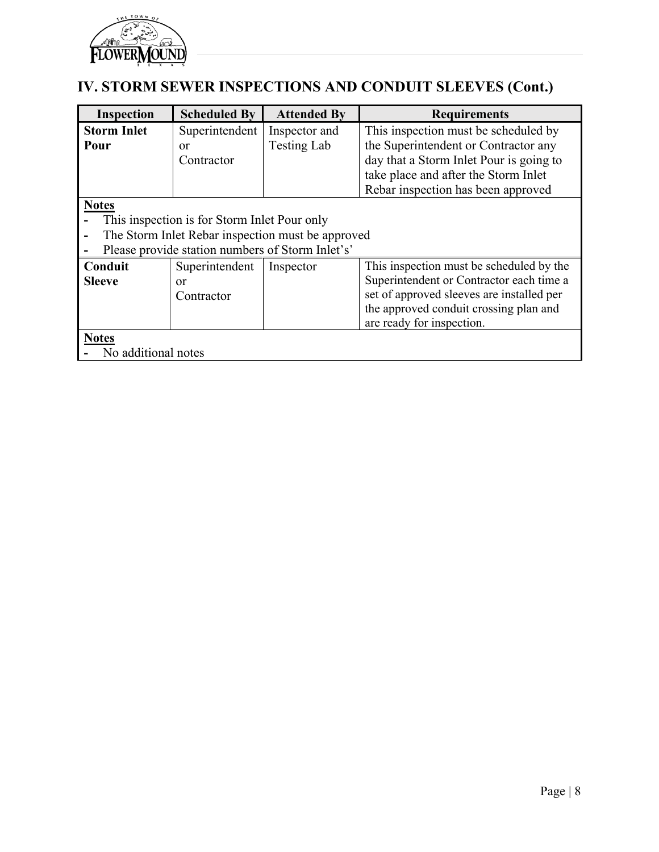

# **IV. STORM SEWER INSPECTIONS AND CONDUIT SLEEVES (Cont.)**

| <b>Inspection</b>   | <b>Scheduled By</b>                              | <b>Attended By</b>                                | <b>Requirements</b>                       |  |
|---------------------|--------------------------------------------------|---------------------------------------------------|-------------------------------------------|--|
| <b>Storm Inlet</b>  | Superintendent                                   | Inspector and                                     | This inspection must be scheduled by      |  |
| Pour                | or                                               | <b>Testing Lab</b>                                | the Superintendent or Contractor any      |  |
|                     | Contractor                                       |                                                   | day that a Storm Inlet Pour is going to   |  |
|                     |                                                  |                                                   | take place and after the Storm Inlet      |  |
|                     |                                                  |                                                   | Rebar inspection has been approved        |  |
| <b>Notes</b>        |                                                  |                                                   |                                           |  |
|                     | This inspection is for Storm Inlet Pour only     |                                                   |                                           |  |
|                     |                                                  | The Storm Inlet Rebar inspection must be approved |                                           |  |
|                     | Please provide station numbers of Storm Inlet's' |                                                   |                                           |  |
| Conduit             | Superintendent                                   | Inspector                                         | This inspection must be scheduled by the  |  |
| <b>Sleeve</b>       | or                                               |                                                   | Superintendent or Contractor each time a  |  |
|                     | Contractor                                       |                                                   | set of approved sleeves are installed per |  |
|                     |                                                  |                                                   | the approved conduit crossing plan and    |  |
|                     |                                                  |                                                   | are ready for inspection.                 |  |
| <b>Notes</b>        |                                                  |                                                   |                                           |  |
| No additional notes |                                                  |                                                   |                                           |  |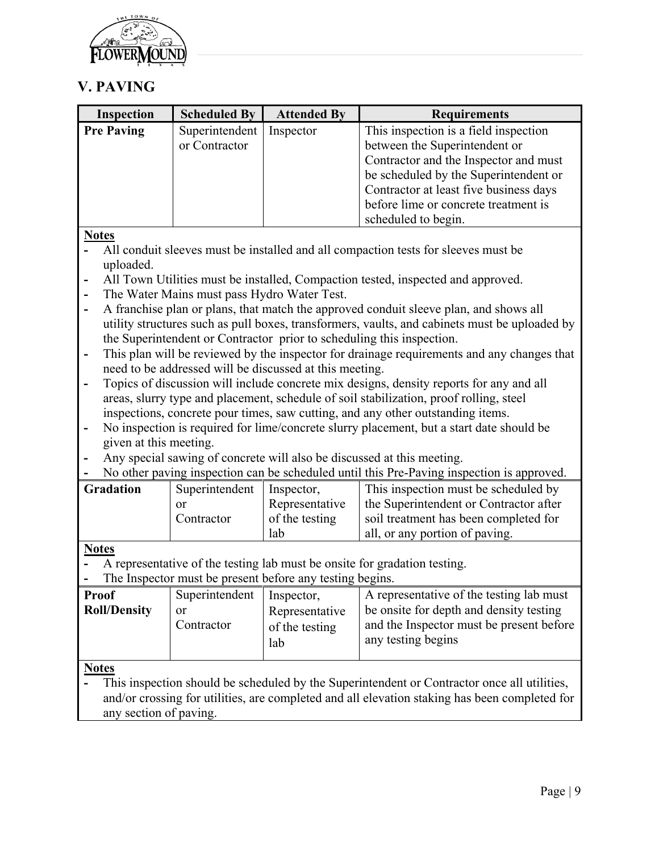

## <span id="page-8-0"></span>**V. PAVING**

| <b>Inspection</b> | <b>Scheduled By</b> | <b>Attended By</b> | <b>Requirements</b>                    |
|-------------------|---------------------|--------------------|----------------------------------------|
| <b>Pre Paving</b> | Superintendent      | Inspector          | This inspection is a field inspection  |
|                   | or Contractor       |                    | between the Superintendent or          |
|                   |                     |                    | Contractor and the Inspector and must  |
|                   |                     |                    | be scheduled by the Superintendent or  |
|                   |                     |                    | Contractor at least five business days |
|                   |                     |                    | before lime or concrete treatment is   |
|                   |                     |                    | scheduled to begin.                    |

### **Notes**

- **-** All conduit sleeves must be installed and all compaction tests for sleeves must be uploaded.
- **-** All Town Utilities must be installed, Compaction tested, inspected and approved.
- **-** The Water Mains must pass Hydro Water Test.
- **-** A franchise plan or plans, that match the approved conduit sleeve plan, and shows all utility structures such as pull boxes, transformers, vaults, and cabinets must be uploaded by the Superintendent or Contractor prior to scheduling this inspection.
- **-** This plan will be reviewed by the inspector for drainage requirements and any changes that need to be addressed will be discussed at this meeting.
- **-** Topics of discussion will include concrete mix designs, density reports for any and all areas, slurry type and placement, schedule of soil stabilization, proof rolling, steel inspections, concrete pour times, saw cutting, and any other outstanding items.
- **-** No inspection is required for lime/concrete slurry placement, but a start date should be given at this meeting.
- **-** Any special sawing of concrete will also be discussed at this meeting.
- **-** No other paving inspection can be scheduled until this Pre-Paving inspection is approved.

| <b>Gradation</b> | Superintendent | Inspector,     | This inspection must be scheduled by   |
|------------------|----------------|----------------|----------------------------------------|
|                  |                | Representative | the Superintendent or Contractor after |
|                  | Contractor     | of the testing | soil treatment has been completed for  |
|                  |                | lab            | all, or any portion of paving.         |

### **Notes**

**-** A representative of the testing lab must be onsite for gradation testing.

**-** The Inspector must be present before any testing begins.

| <b>Proof</b>        | Superintendent | Inspector,     | A representative of the testing lab must |
|---------------------|----------------|----------------|------------------------------------------|
| <b>Roll/Density</b> | or             | Representative | be onsite for depth and density testing  |
|                     | Contractor     | of the testing | and the Inspector must be present before |
|                     |                | lab            | any testing begins                       |
|                     |                |                |                                          |

**Notes**

**-** This inspection should be scheduled by the Superintendent or Contractor once all utilities, and/or crossing for utilities, are completed and all elevation staking has been completed for any section of paving.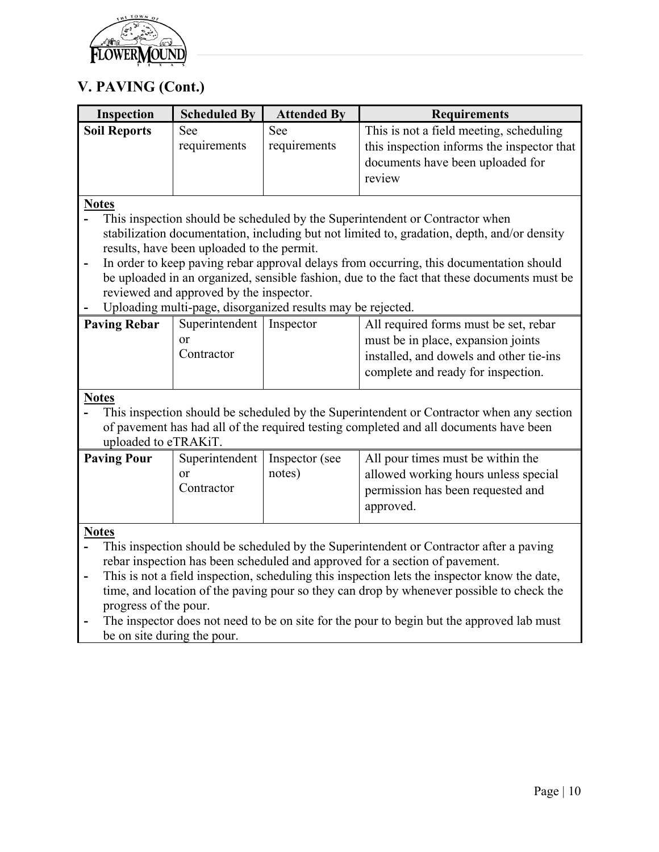

## **V. PAVING (Cont.)**

| <b>Inspection</b>   | <b>Scheduled By</b>                        | <b>Attended By</b>                                          | <b>Requirements</b>                                                                         |  |  |
|---------------------|--------------------------------------------|-------------------------------------------------------------|---------------------------------------------------------------------------------------------|--|--|
| <b>Soil Reports</b> | See                                        | See                                                         | This is not a field meeting, scheduling                                                     |  |  |
|                     | requirements                               | requirements                                                | this inspection informs the inspector that                                                  |  |  |
|                     |                                            |                                                             | documents have been uploaded for                                                            |  |  |
|                     |                                            |                                                             | review                                                                                      |  |  |
|                     |                                            |                                                             |                                                                                             |  |  |
| <b>Notes</b>        |                                            |                                                             |                                                                                             |  |  |
|                     |                                            |                                                             | This inspection should be scheduled by the Superintendent or Contractor when                |  |  |
|                     |                                            |                                                             | stabilization documentation, including but not limited to, gradation, depth, and/or density |  |  |
|                     | results, have been uploaded to the permit. |                                                             |                                                                                             |  |  |
|                     |                                            |                                                             | In order to keep paving rebar approval delays from occurring, this documentation should     |  |  |
|                     |                                            |                                                             | be uploaded in an organized, sensible fashion, due to the fact that these documents must be |  |  |
|                     | reviewed and approved by the inspector.    |                                                             |                                                                                             |  |  |
|                     |                                            | Uploading multi-page, disorganized results may be rejected. |                                                                                             |  |  |
| <b>Paving Rebar</b> | Superintendent   Inspector                 |                                                             | All required forms must be set, rebar                                                       |  |  |
|                     | or                                         |                                                             | must be in place, expansion joints                                                          |  |  |
|                     | Contractor                                 |                                                             | installed, and dowels and other tie-ins                                                     |  |  |
|                     |                                            |                                                             | complete and ready for inspection.                                                          |  |  |
|                     |                                            |                                                             |                                                                                             |  |  |
| <b>Notes</b>        |                                            |                                                             |                                                                                             |  |  |
|                     |                                            |                                                             | This inepection should be schooluled by the Sympaton dent or Contractor when eny section    |  |  |

**-** This inspection should be scheduled by the Superintendent or Contractor when any section of pavement has had all of the required testing completed and all documents have been uploaded to eTRAKiT.

| <b>Paving Pour</b> | Superintendent   Inspector (see |        | All pour times must be within the    |
|--------------------|---------------------------------|--------|--------------------------------------|
|                    | or                              | notes) | allowed working hours unless special |
|                    | Contractor                      |        | permission has been requested and    |
|                    |                                 |        | approved.                            |
|                    |                                 |        |                                      |

**Notes**

- **-** This inspection should be scheduled by the Superintendent or Contractor after a paving rebar inspection has been scheduled and approved for a section of pavement.
- **-** This is not a field inspection, scheduling this inspection lets the inspector know the date, time, and location of the paving pour so they can drop by whenever possible to check the progress of the pour.
- **-** The inspector does not need to be on site for the pour to begin but the approved lab must be on site during the pour.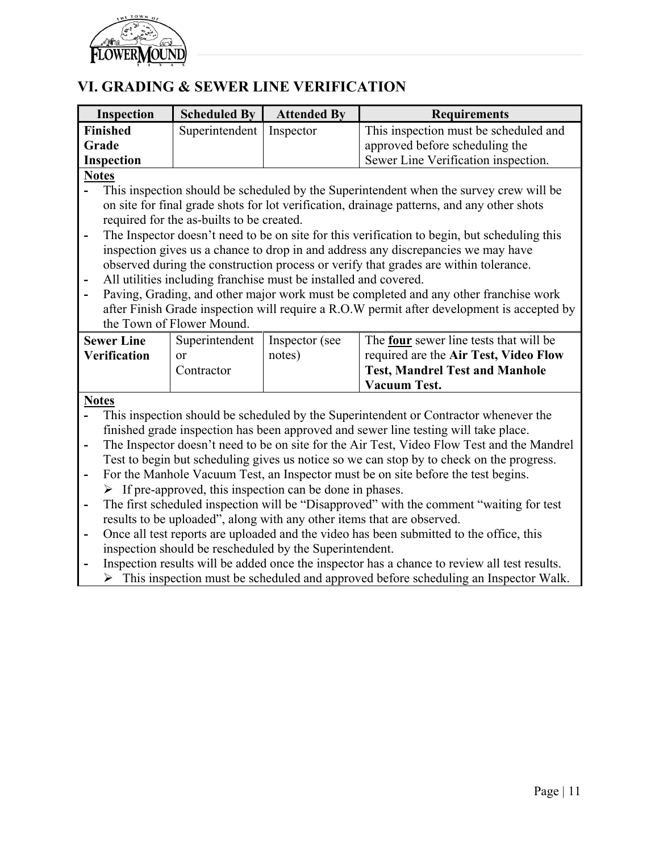<span id="page-10-0"></span>

# **VI. GRADING & SEWER LINE VERIFICATION**

| <b>Inspection</b>        | <b>Scheduled By</b>                                                                                                                                                 | <b>Attended By</b>                                               | <b>Requirements</b>                                                                                                                                                         |  |
|--------------------------|---------------------------------------------------------------------------------------------------------------------------------------------------------------------|------------------------------------------------------------------|-----------------------------------------------------------------------------------------------------------------------------------------------------------------------------|--|
| <b>Finished</b>          | Superintendent                                                                                                                                                      | Inspector                                                        | This inspection must be scheduled and                                                                                                                                       |  |
| Grade                    |                                                                                                                                                                     |                                                                  | approved before scheduling the                                                                                                                                              |  |
| Inspection               |                                                                                                                                                                     |                                                                  | Sewer Line Verification inspection.                                                                                                                                         |  |
| <b>Notes</b>             |                                                                                                                                                                     |                                                                  |                                                                                                                                                                             |  |
|                          |                                                                                                                                                                     |                                                                  | This inspection should be scheduled by the Superintendent when the survey crew will be                                                                                      |  |
|                          |                                                                                                                                                                     |                                                                  | on site for final grade shots for lot verification, drainage patterns, and any other shots                                                                                  |  |
|                          | required for the as-builts to be created.                                                                                                                           |                                                                  |                                                                                                                                                                             |  |
| $\overline{a}$           |                                                                                                                                                                     |                                                                  | The Inspector doesn't need to be on site for this verification to begin, but scheduling this                                                                                |  |
|                          |                                                                                                                                                                     |                                                                  | inspection gives us a chance to drop in and address any discrepancies we may have                                                                                           |  |
|                          |                                                                                                                                                                     |                                                                  | observed during the construction process or verify that grades are within tolerance.                                                                                        |  |
|                          |                                                                                                                                                                     | All utilities including franchise must be installed and covered. |                                                                                                                                                                             |  |
|                          |                                                                                                                                                                     |                                                                  | Paving, Grading, and other major work must be completed and any other franchise work                                                                                        |  |
|                          |                                                                                                                                                                     |                                                                  | after Finish Grade inspection will require a R.O.W permit after development is accepted by                                                                                  |  |
|                          | the Town of Flower Mound.                                                                                                                                           |                                                                  |                                                                                                                                                                             |  |
| <b>Sewer Line</b>        | Superintendent                                                                                                                                                      | Inspector (see                                                   | The four sewer line tests that will be                                                                                                                                      |  |
| <b>Verification</b>      | or                                                                                                                                                                  | notes)                                                           | required are the Air Test, Video Flow                                                                                                                                       |  |
|                          | Contractor                                                                                                                                                          |                                                                  | <b>Test, Mandrel Test and Manhole</b>                                                                                                                                       |  |
|                          |                                                                                                                                                                     |                                                                  | <b>Vacuum Test.</b>                                                                                                                                                         |  |
|                          |                                                                                                                                                                     |                                                                  |                                                                                                                                                                             |  |
| <b>Notes</b>             |                                                                                                                                                                     |                                                                  |                                                                                                                                                                             |  |
|                          |                                                                                                                                                                     |                                                                  | This inspection should be scheduled by the Superintendent or Contractor whenever the<br>finished grade inspection has been approved and sewer line testing will take place. |  |
| $\overline{\phantom{a}}$ |                                                                                                                                                                     |                                                                  | The Inspector doesn't need to be on site for the Air Test, Video Flow Test and the Mandrel                                                                                  |  |
|                          |                                                                                                                                                                     |                                                                  | Test to begin but scheduling gives us notice so we can stop by to check on the progress.                                                                                    |  |
|                          |                                                                                                                                                                     |                                                                  | For the Manhole Vacuum Test, an Inspector must be on site before the test begins.                                                                                           |  |
| $\overline{\phantom{a}}$ |                                                                                                                                                                     |                                                                  |                                                                                                                                                                             |  |
|                          | $\triangleright$ If pre-approved, this inspection can be done in phases.<br>The first scheduled inspection will be "Disapproved" with the comment "waiting for test |                                                                  |                                                                                                                                                                             |  |
| $\blacksquare$           |                                                                                                                                                                     |                                                                  | results to be uploaded", along with any other items that are observed.                                                                                                      |  |
|                          |                                                                                                                                                                     |                                                                  |                                                                                                                                                                             |  |
| $\overline{\phantom{a}}$ |                                                                                                                                                                     |                                                                  | Once all test reports are uploaded and the video has been submitted to the office, this                                                                                     |  |
|                          |                                                                                                                                                                     | inspection should be rescheduled by the Superintendent.          |                                                                                                                                                                             |  |
|                          | Inspection results will be added once the inspector has a chance to review all test results.                                                                        |                                                                  |                                                                                                                                                                             |  |

 $\triangleright$  This inspection must be scheduled and approved before scheduling an Inspector Walk.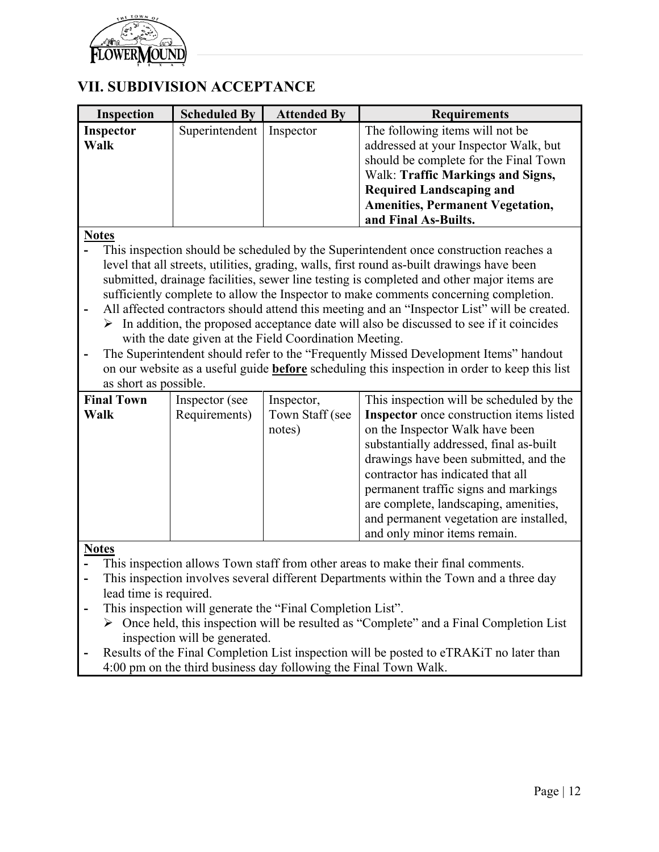

## <span id="page-11-0"></span>**VII. SUBDIVISION ACCEPTANCE**

| <b>Inspection</b>        | <b>Scheduled By</b> | <b>Attended By</b> | <b>Requirements</b>                                                                                                                                                                                                                                          |
|--------------------------|---------------------|--------------------|--------------------------------------------------------------------------------------------------------------------------------------------------------------------------------------------------------------------------------------------------------------|
| <b>Inspector</b><br>Walk | Superintendent      | Inspector          | The following items will not be<br>addressed at your Inspector Walk, but<br>should be complete for the Final Town<br>Walk: Traffic Markings and Signs,<br><b>Required Landscaping and</b><br><b>Amenities, Permanent Vegetation,</b><br>and Final As-Builts. |

### **Notes**

- **-** This inspection should be scheduled by the Superintendent once construction reaches a level that all streets, utilities, grading, walls, first round as-built drawings have been submitted, drainage facilities, sewer line testing is completed and other major items are sufficiently complete to allow the Inspector to make comments concerning completion.
- **-** All affected contractors should attend this meeting and an "Inspector List" will be created.
	- $\triangleright$  In addition, the proposed acceptance date will also be discussed to see if it coincides with the date given at the Field Coordination Meeting.
- **-** The Superintendent should refer to the "Frequently Missed Development Items" handout on our website as a useful guide **before** scheduling this inspection in order to keep this list as short as possible.

| <b>Final Town</b> | Inspector (see | Inspector,      | This inspection will be scheduled by the        |
|-------------------|----------------|-----------------|-------------------------------------------------|
| Walk              | Requirements)  | Town Staff (see | <b>Inspector</b> once construction items listed |
|                   |                | notes)          | on the Inspector Walk have been                 |
|                   |                |                 | substantially addressed, final as-built         |
|                   |                |                 | drawings have been submitted, and the           |
|                   |                |                 | contractor has indicated that all               |
|                   |                |                 | permanent traffic signs and markings            |
|                   |                |                 | are complete, landscaping, amenities,           |
|                   |                |                 | and permanent vegetation are installed,         |
|                   |                |                 | and only minor items remain.                    |

### **Notes**

- **-** This inspection allows Town staff from other areas to make their final comments.
- **-** This inspection involves several different Departments within the Town and a three day lead time is required.
- **-** This inspection will generate the "Final Completion List".
	- Once held, this inspection will be resulted as "Complete" and a Final Completion List inspection will be generated.
- **-** Results of the Final Completion List inspection will be posted to eTRAKiT no later than 4:00 pm on the third business day following the Final Town Walk.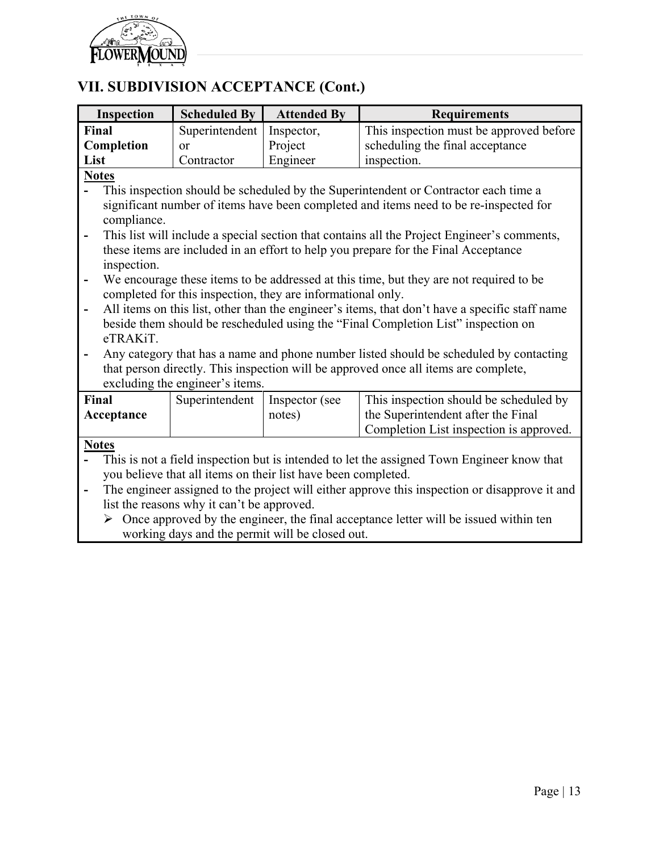

# **VII. SUBDIVISION ACCEPTANCE (Cont.)**

| Inspection                                                                                                                                                   | <b>Scheduled By</b>                                                                            | <b>Attended By</b> | <b>Requirements</b>                     |  |  |  |  |
|--------------------------------------------------------------------------------------------------------------------------------------------------------------|------------------------------------------------------------------------------------------------|--------------------|-----------------------------------------|--|--|--|--|
| Final                                                                                                                                                        | Superintendent                                                                                 | Inspector,         | This inspection must be approved before |  |  |  |  |
| Completion                                                                                                                                                   | or                                                                                             | Project            | scheduling the final acceptance         |  |  |  |  |
| List                                                                                                                                                         | Contractor                                                                                     | Engineer           | inspection.                             |  |  |  |  |
| <b>Notes</b>                                                                                                                                                 |                                                                                                |                    |                                         |  |  |  |  |
| This inspection should be scheduled by the Superintendent or Contractor each time a                                                                          |                                                                                                |                    |                                         |  |  |  |  |
|                                                                                                                                                              | significant number of items have been completed and items need to be re-inspected for          |                    |                                         |  |  |  |  |
| compliance.                                                                                                                                                  |                                                                                                |                    |                                         |  |  |  |  |
| This list will include a special section that contains all the Project Engineer's comments,<br>$\overline{\phantom{a}}$                                      |                                                                                                |                    |                                         |  |  |  |  |
|                                                                                                                                                              | these items are included in an effort to help you prepare for the Final Acceptance             |                    |                                         |  |  |  |  |
| inspection.                                                                                                                                                  |                                                                                                |                    |                                         |  |  |  |  |
| $\qquad \qquad \blacksquare$                                                                                                                                 | We encourage these items to be addressed at this time, but they are not required to be         |                    |                                         |  |  |  |  |
|                                                                                                                                                              | completed for this inspection, they are informational only.                                    |                    |                                         |  |  |  |  |
| $\blacksquare$                                                                                                                                               | All items on this list, other than the engineer's items, that don't have a specific staff name |                    |                                         |  |  |  |  |
|                                                                                                                                                              | beside them should be rescheduled using the "Final Completion List" inspection on              |                    |                                         |  |  |  |  |
| eTRAKiT.                                                                                                                                                     |                                                                                                |                    |                                         |  |  |  |  |
|                                                                                                                                                              | Any category that has a name and phone number listed should be scheduled by contacting         |                    |                                         |  |  |  |  |
|                                                                                                                                                              | that person directly. This inspection will be approved once all items are complete,            |                    |                                         |  |  |  |  |
| excluding the engineer's items.                                                                                                                              |                                                                                                |                    |                                         |  |  |  |  |
| Final                                                                                                                                                        | Superintendent                                                                                 | Inspector (see     | This inspection should be scheduled by  |  |  |  |  |
| Acceptance                                                                                                                                                   |                                                                                                | notes)             | the Superintendent after the Final      |  |  |  |  |
|                                                                                                                                                              |                                                                                                |                    | Completion List inspection is approved. |  |  |  |  |
| <b>Notes</b>                                                                                                                                                 |                                                                                                |                    |                                         |  |  |  |  |
| This is not a field inspection but is intended to let the assigned Town Engineer know that                                                                   |                                                                                                |                    |                                         |  |  |  |  |
| you believe that all items on their list have been completed.                                                                                                |                                                                                                |                    |                                         |  |  |  |  |
| $\qquad \qquad \blacksquare$                                                                                                                                 | The engineer assigned to the project will either approve this inspection or disapprove it and  |                    |                                         |  |  |  |  |
|                                                                                                                                                              | list the reasons why it can't be approved.                                                     |                    |                                         |  |  |  |  |
| $Q_{n+1}$ , and the set of the state of the state $\mathcal{L}_{n+1}$ , and the state of $\mathcal{L}_{n+1}$ and $\mathcal{L}_{n+1}$ and $\mathcal{L}_{n+1}$ |                                                                                                |                    |                                         |  |  |  |  |

 $\triangleright$  Once approved by the engineer, the final acceptance letter will be issued within ten working days and the permit will be closed out.